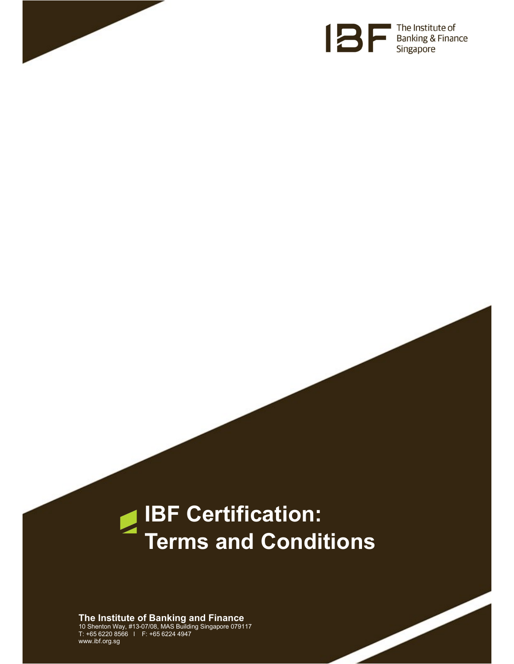



# IBF Certification:  $\blacktriangleright$ Terms and Conditions

The Institute of Banking and Finance 10 Shenton Way, #13-07/08, MAS Building Singapore 079117 T: +65 6220 8566 l F: +65 6224 4947 www.ibf.org.sg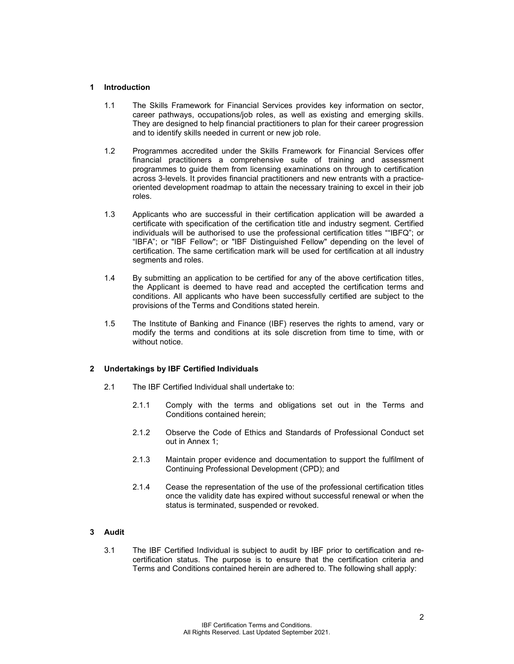# 1 Introduction

- 1.1 The Skills Framework for Financial Services provides key information on sector, career pathways, occupations/job roles, as well as existing and emerging skills. They are designed to help financial practitioners to plan for their career progression and to identify skills needed in current or new job role.
- 1.2 Programmes accredited under the Skills Framework for Financial Services offer financial practitioners a comprehensive suite of training and assessment programmes to guide them from licensing examinations on through to certification across 3-levels. It provides financial practitioners and new entrants with a practiceoriented development roadmap to attain the necessary training to excel in their job roles.
- 1.3 Applicants who are successful in their certification application will be awarded a certificate with specification of the certification title and industry segment. Certified individuals will be authorised to use the professional certification titles ""IBFQ"; or "IBFA"; or "IBF Fellow"; or "IBF Distinguished Fellow" depending on the level of certification. The same certification mark will be used for certification at all industry segments and roles.
- 1.4 By submitting an application to be certified for any of the above certification titles, the Applicant is deemed to have read and accepted the certification terms and conditions. All applicants who have been successfully certified are subject to the provisions of the Terms and Conditions stated herein.
- 1.5 The Institute of Banking and Finance (IBF) reserves the rights to amend, vary or modify the terms and conditions at its sole discretion from time to time, with or without notice.

# 2 Undertakings by IBF Certified Individuals

- 2.1 The IBF Certified Individual shall undertake to:
	- 2.1.1 Comply with the terms and obligations set out in the Terms and Conditions contained herein;
	- 2.1.2 Observe the Code of Ethics and Standards of Professional Conduct set out in Annex 1;
	- 2.1.3 Maintain proper evidence and documentation to support the fulfilment of Continuing Professional Development (CPD); and
	- 2.1.4 Cease the representation of the use of the professional certification titles once the validity date has expired without successful renewal or when the status is terminated, suspended or revoked.

# 3 Audit

3.1 The IBF Certified Individual is subject to audit by IBF prior to certification and recertification status. The purpose is to ensure that the certification criteria and Terms and Conditions contained herein are adhered to. The following shall apply: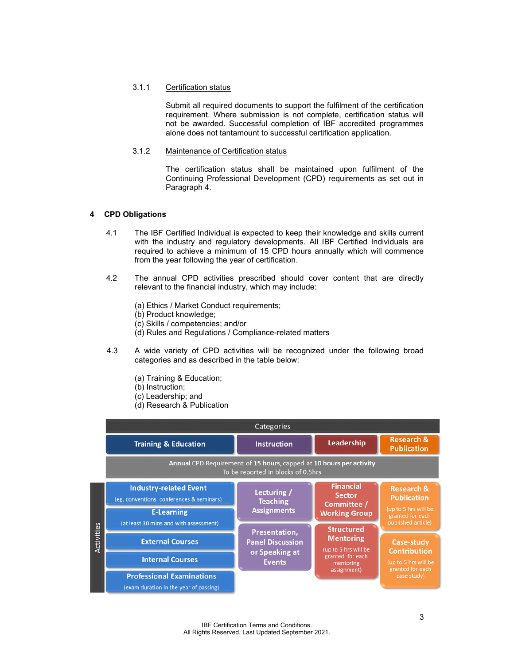#### 3.1.1 Certification status

Submit all required documents to support the fulfilment of the certification requirement. Where submission is not complete, certification status will not be awarded. Successful completion of IBF accredited programmes alone does not tantamount to successful certification application.

## 3.1.2 Maintenance of Certification status

The certification status shall be maintained upon fulfilment of the Continuing Professional Development (CPD) requirements as set out in Paragraph 4.

#### 4 CPD Obligations

- 4.1 The IBF Certified Individual is expected to keep their knowledge and skills current with the industry and regulatory developments. All IBF Certified Individuals are required to achieve a minimum of 15 CPD hours annually which will commence from the year following the year of certification.
- 4.2 The annual CPD activities prescribed should cover content that are directly relevant to the financial industry, which may include:
	- (a) Ethics / Market Conduct requirements;
	- (b) Product knowledge;
	- (c) Skills / competencies; and/or
	- (d) Rules and Regulations / Compliance-related matters
- 4.3 A wide variety of CPD activities will be recognized under the following broad categories and as described in the table below:
	- (a) Training & Education;
	- (b) Instruction;
	- (c) Leadership; and
	- (d) Research & Publication

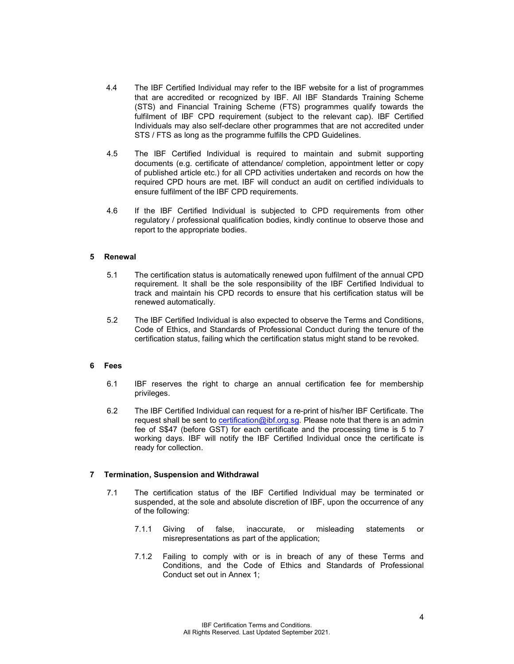- 4.4 The IBF Certified Individual may refer to the IBF website for a list of programmes that are accredited or recognized by IBF. All IBF Standards Training Scheme (STS) and Financial Training Scheme (FTS) programmes qualify towards the fulfilment of IBF CPD requirement (subject to the relevant cap). IBF Certified Individuals may also self-declare other programmes that are not accredited under STS / FTS as long as the programme fulfills the CPD Guidelines.
- 4.5 The IBF Certified Individual is required to maintain and submit supporting documents (e.g. certificate of attendance/ completion, appointment letter or copy of published article etc.) for all CPD activities undertaken and records on how the required CPD hours are met. IBF will conduct an audit on certified individuals to ensure fulfilment of the IBF CPD requirements.
- 4.6 If the IBF Certified Individual is subjected to CPD requirements from other regulatory / professional qualification bodies, kindly continue to observe those and report to the appropriate bodies.

#### 5 Renewal

- 5.1 The certification status is automatically renewed upon fulfilment of the annual CPD requirement. It shall be the sole responsibility of the IBF Certified Individual to track and maintain his CPD records to ensure that his certification status will be renewed automatically.
- 5.2 The IBF Certified Individual is also expected to observe the Terms and Conditions, Code of Ethics, and Standards of Professional Conduct during the tenure of the certification status, failing which the certification status might stand to be revoked.

#### 6 Fees

- 6.1 IBF reserves the right to charge an annual certification fee for membership privileges.
- 6.2 The IBF Certified Individual can request for a re-print of his/her IBF Certificate. The request shall be sent to certification@ibf.org.sg. Please note that there is an admin fee of S\$47 (before GST) for each certificate and the processing time is 5 to 7 working days. IBF will notify the IBF Certified Individual once the certificate is ready for collection.

# 7 Termination, Suspension and Withdrawal

- 7.1 The certification status of the IBF Certified Individual may be terminated or suspended, at the sole and absolute discretion of IBF, upon the occurrence of any of the following:
	- 7.1.1 Giving of false, inaccurate, or misleading statements or misrepresentations as part of the application;
	- 7.1.2 Failing to comply with or is in breach of any of these Terms and Conditions, and the Code of Ethics and Standards of Professional Conduct set out in Annex 1;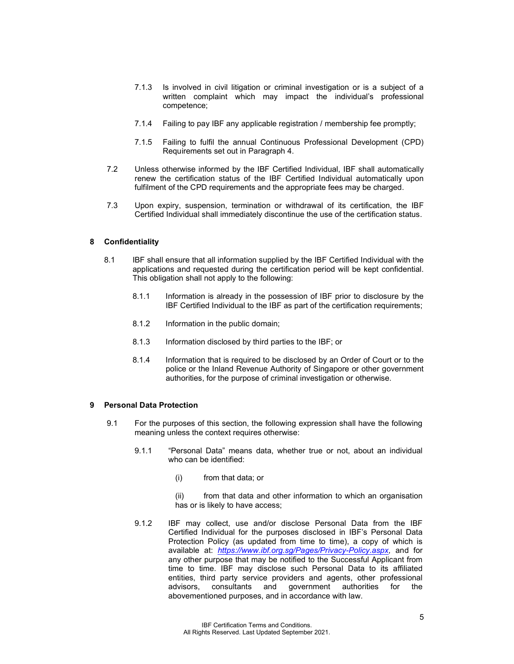- 7.1.3 Is involved in civil litigation or criminal investigation or is a subject of a written complaint which may impact the individual's professional competence;
- 7.1.4 Failing to pay IBF any applicable registration / membership fee promptly;
- 7.1.5 Failing to fulfil the annual Continuous Professional Development (CPD) Requirements set out in Paragraph 4.
- 7.2 Unless otherwise informed by the IBF Certified Individual, IBF shall automatically renew the certification status of the IBF Certified Individual automatically upon fulfilment of the CPD requirements and the appropriate fees may be charged.
- 7.3 Upon expiry, suspension, termination or withdrawal of its certification, the IBF Certified Individual shall immediately discontinue the use of the certification status.

#### 8 Confidentiality

- 8.1 IBF shall ensure that all information supplied by the IBF Certified Individual with the applications and requested during the certification period will be kept confidential. This obligation shall not apply to the following:
	- 8.1.1 Information is already in the possession of IBF prior to disclosure by the IBF Certified Individual to the IBF as part of the certification requirements;
	- 8.1.2 Information in the public domain;
	- 8.1.3 Information disclosed by third parties to the IBF; or
	- 8.1.4 Information that is required to be disclosed by an Order of Court or to the police or the Inland Revenue Authority of Singapore or other government authorities, for the purpose of criminal investigation or otherwise.

## 9 Personal Data Protection

- 9.1 For the purposes of this section, the following expression shall have the following meaning unless the context requires otherwise:
	- 9.1.1 "Personal Data" means data, whether true or not, about an individual who can be identified:
		- (i) from that data; or
		- (ii) from that data and other information to which an organisation has or is likely to have access;
	- 9.1.2 IBF may collect, use and/or disclose Personal Data from the IBF Certified Individual for the purposes disclosed in IBF's Personal Data Protection Policy (as updated from time to time), a copy of which is available at: https://www.ibf.org.sg/Pages/Privacy-Policy.aspx, and for any other purpose that may be notified to the Successful Applicant from time to time. IBF may disclose such Personal Data to its affiliated entities, third party service providers and agents, other professional advisors, consultants and government authorities for the advisors, consultants and government authorities for the abovementioned purposes, and in accordance with law.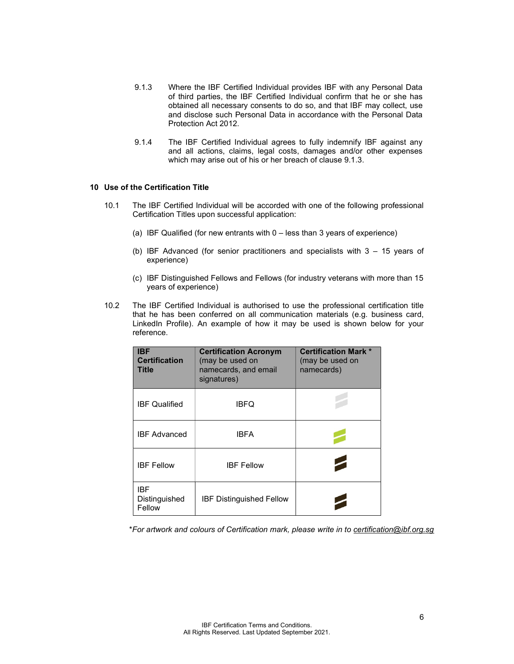- 9.1.3 Where the IBF Certified Individual provides IBF with any Personal Data of third parties, the IBF Certified Individual confirm that he or she has obtained all necessary consents to do so, and that IBF may collect, use and disclose such Personal Data in accordance with the Personal Data Protection Act 2012.
- 9.1.4 The IBF Certified Individual agrees to fully indemnify IBF against any and all actions, claims, legal costs, damages and/or other expenses which may arise out of his or her breach of clause 9.1.3.

#### 10 Use of the Certification Title

- 10.1 The IBF Certified Individual will be accorded with one of the following professional Certification Titles upon successful application:
	- (a) IBF Qualified (for new entrants with 0 less than 3 years of experience)
	- (b) IBF Advanced (for senior practitioners and specialists with 3 15 years of experience)
	- (c) IBF Distinguished Fellows and Fellows (for industry veterans with more than 15 years of experience)
- 10.2 The IBF Certified Individual is authorised to use the professional certification title that he has been conferred on all communication materials (e.g. business card, LinkedIn Profile). An example of how it may be used is shown below for your reference.

| <b>IBF</b><br><b>Certification</b><br>Title | <b>Certification Acronym</b><br>(may be used on<br>namecards, and email<br>signatures) | <b>Certification Mark *</b><br>(may be used on<br>namecards) |
|---------------------------------------------|----------------------------------------------------------------------------------------|--------------------------------------------------------------|
| <b>IBF Qualified</b>                        | IBFQ                                                                                   |                                                              |
| <b>IBF Advanced</b>                         | <b>IBFA</b>                                                                            |                                                              |
| <b>IBF Fellow</b>                           | <b>IBF Fellow</b>                                                                      | 2                                                            |
| IBF<br>Distinguished<br>Fellow              | <b>IBF Distinguished Fellow</b>                                                        |                                                              |

\*For artwork and colours of Certification mark, please write in to certification@ibf.org.sg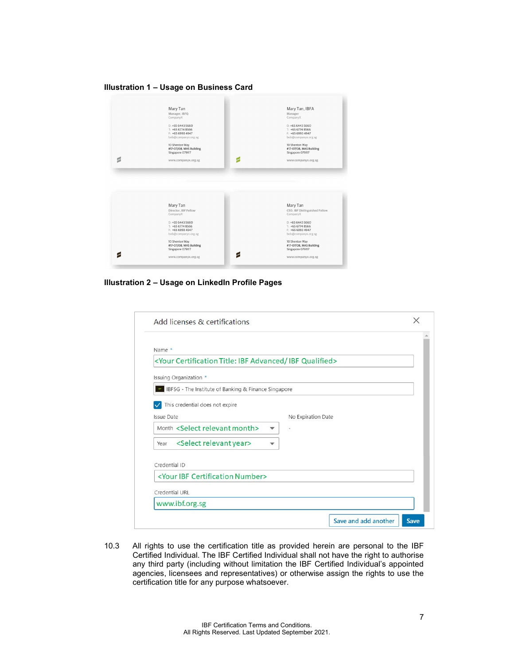Illustration 1 – Usage on Business Card

|   | Mary Tan<br>Manager, IBFQ<br>CompanyX                                           | Mary Tan, IBFA<br>Manager<br>CompanyX                                           |
|---|---------------------------------------------------------------------------------|---------------------------------------------------------------------------------|
|   | $D: +6564435660$<br>$E + 6567748566$<br>$F: +6569934947$<br>bob@companyx.org.sg | $D: +6564435660$<br>$T: +6567748566$<br>$F: +6569934947$<br>bob@companyx.org.sg |
|   | 10 Shenton Way<br>#17-07/08, MAS Building<br>Singapore 079117                   | 10 Shenton Way<br>#17-07/08, MAS Building<br>Singapore 079117                   |
| ś | P<br>www.companyx.org.sg                                                        | www.companyx.org.sg                                                             |
|   |                                                                                 |                                                                                 |
|   |                                                                                 |                                                                                 |
|   | Mary Tan<br>Director, IBF Fellow<br>CompanyX                                    | Mary Tan<br>CEO, IBF Distinguished Fellow<br>CompanyX                           |
|   | $D: +6564435660$                                                                | $D: +6564435660$                                                                |
|   | $T: +6567748566$                                                                | $T: +6567748566$                                                                |
|   | F: +65 6993 4947<br>bob@companyx.org.sg                                         | F: +65 6993 4947<br>bob@companyx.org.sg                                         |
|   |                                                                                 |                                                                                 |
|   | 10 Shenton Way<br>#17-07/08, MAS Building                                       | 10 Shenton Way<br>#17-07/08, MAS Building                                       |
|   | Singapore 079117                                                                | Singapore 079117                                                                |

Illustration 2 – Usage on LinkedIn Profile Pages

| Add licenses & certifications                                                                                                                 |             |  |
|-----------------------------------------------------------------------------------------------------------------------------------------------|-------------|--|
| Name *                                                                                                                                        |             |  |
| <your advanced="" certification="" ibf="" qualified="" title:=""></your>                                                                      |             |  |
| Issuing Organization *                                                                                                                        |             |  |
| BFSG - The Institute of Banking & Finance Singapore                                                                                           |             |  |
| This credential does not expire                                                                                                               |             |  |
| <b>Issue Date</b><br>No Expiration Date                                                                                                       |             |  |
| Month <select month="" relevant=""><br/><math>\overline{\phantom{a}}</math><br/><math display="inline">\overline{\phantom{a}}</math></select> |             |  |
| <select relevant="" year=""><br/>Year<br/>▼</select>                                                                                          |             |  |
| Credential ID                                                                                                                                 |             |  |
| <your certification="" ibf="" number=""></your>                                                                                               |             |  |
| Credential URL                                                                                                                                |             |  |
| www.ibf.org.sg                                                                                                                                |             |  |
| Save and add another                                                                                                                          | <b>Save</b> |  |

10.3 All rights to use the certification title as provided herein are personal to the IBF Certified Individual. The IBF Certified Individual shall not have the right to authorise any third party (including without limitation the IBF Certified Individual's appointed agencies, licensees and representatives) or otherwise assign the rights to use the certification title for any purpose whatsoever.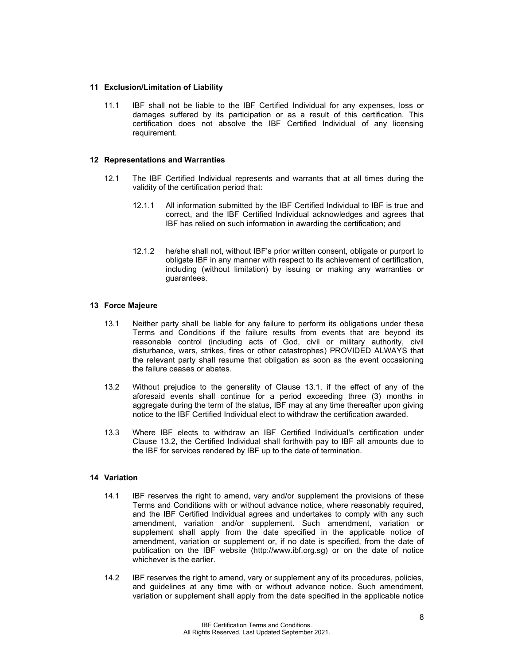## 11 Exclusion/Limitation of Liability

11.1 IBF shall not be liable to the IBF Certified Individual for any expenses, loss or damages suffered by its participation or as a result of this certification. This certification does not absolve the IBF Certified Individual of any licensing requirement.

## 12 Representations and Warranties

- 12.1 The IBF Certified Individual represents and warrants that at all times during the validity of the certification period that:
	- 12.1.1 All information submitted by the IBF Certified Individual to IBF is true and correct, and the IBF Certified Individual acknowledges and agrees that IBF has relied on such information in awarding the certification; and
	- 12.1.2 he/she shall not, without IBF's prior written consent, obligate or purport to obligate IBF in any manner with respect to its achievement of certification, including (without limitation) by issuing or making any warranties or guarantees.

## 13 Force Majeure

- 13.1 Neither party shall be liable for any failure to perform its obligations under these Terms and Conditions if the failure results from events that are beyond its reasonable control (including acts of God, civil or military authority, civil disturbance, wars, strikes, fires or other catastrophes) PROVIDED ALWAYS that the relevant party shall resume that obligation as soon as the event occasioning the failure ceases or abates.
- 13.2 Without prejudice to the generality of Clause 13.1, if the effect of any of the aforesaid events shall continue for a period exceeding three (3) months in aggregate during the term of the status, IBF may at any time thereafter upon giving notice to the IBF Certified Individual elect to withdraw the certification awarded.
- 13.3 Where IBF elects to withdraw an IBF Certified Individual's certification under Clause 13.2, the Certified Individual shall forthwith pay to IBF all amounts due to the IBF for services rendered by IBF up to the date of termination.

#### 14 Variation

- 14.1 IBF reserves the right to amend, vary and/or supplement the provisions of these Terms and Conditions with or without advance notice, where reasonably required, and the IBF Certified Individual agrees and undertakes to comply with any such amendment, variation and/or supplement. Such amendment, variation or supplement shall apply from the date specified in the applicable notice of amendment, variation or supplement or, if no date is specified, from the date of publication on the IBF website (http://www.ibf.org.sg) or on the date of notice whichever is the earlier.
- 14.2 IBF reserves the right to amend, vary or supplement any of its procedures, policies, and guidelines at any time with or without advance notice. Such amendment, variation or supplement shall apply from the date specified in the applicable notice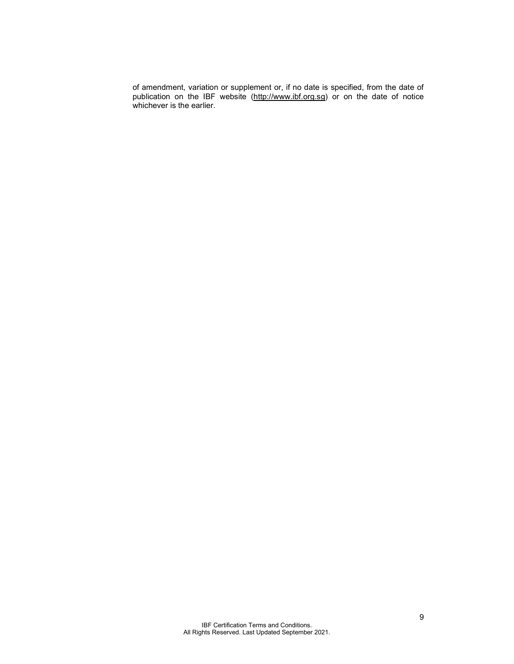of amendment, variation or supplement or, if no date is specified, from the date of publication on the IBF website (http://www.ibf.org.sg) or on the date of notice whichever is the earlier.